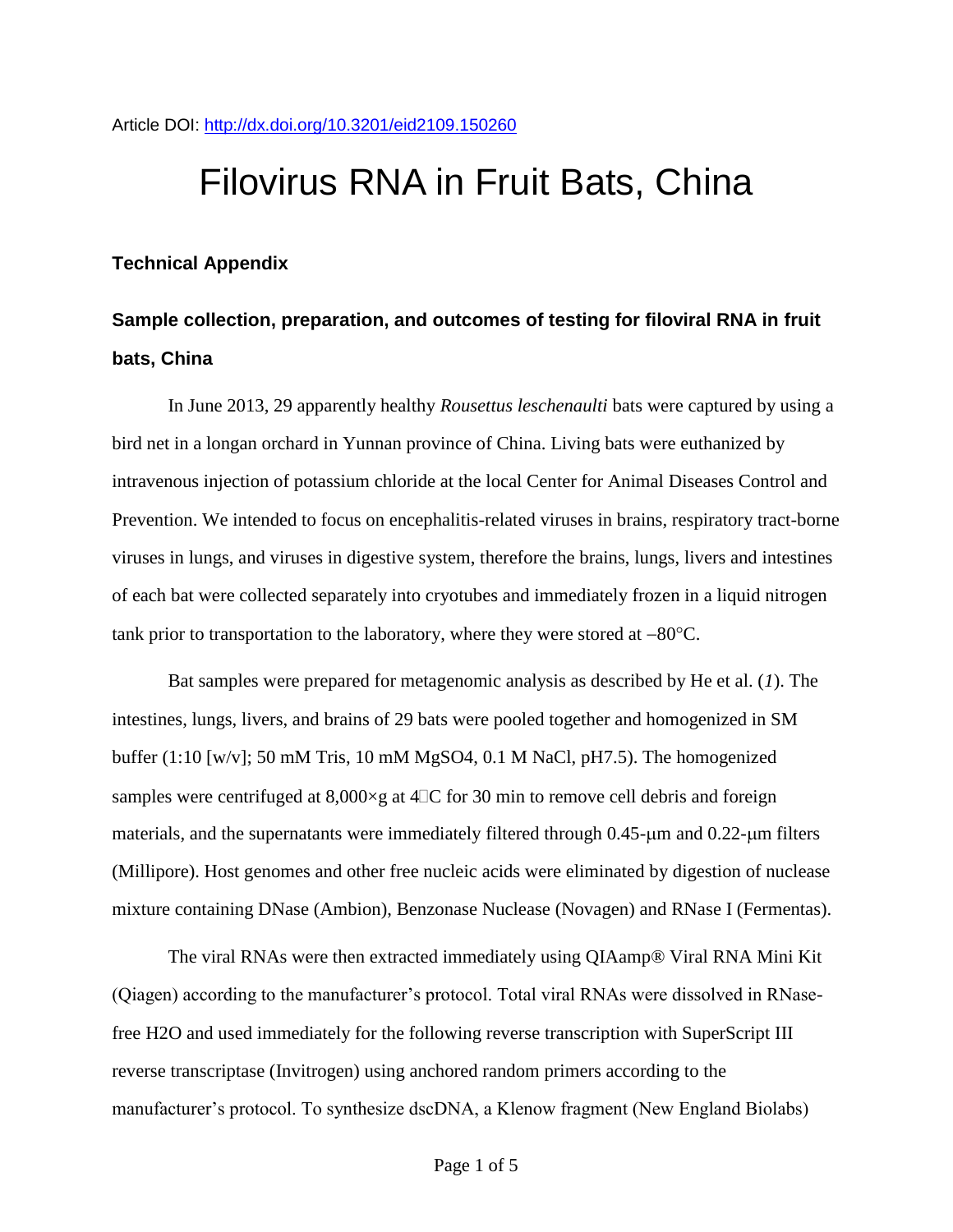Article DOI:<http://dx.doi.org/10.3201/eid2109.150260>

## Filovirus RNA in Fruit Bats, China

## **Technical Appendix**

## **Sample collection, preparation, and outcomes of testing for filoviral RNA in fruit bats, China**

In June 2013, 29 apparently healthy *Rousettus leschenaulti* bats were captured by using a bird net in a longan orchard in Yunnan province of China. Living bats were euthanized by intravenous injection of potassium chloride at the local Center for Animal Diseases Control and Prevention. We intended to focus on encephalitis-related viruses in brains, respiratory tract-borne viruses in lungs, and viruses in digestive system, therefore the brains, lungs, livers and intestines of each bat were collected separately into cryotubes and immediately frozen in a liquid nitrogen tank prior to transportation to the laboratory, where they were stored at  $-80^{\circ}$ C.

Bat samples were prepared for metagenomic analysis as described by He et al. (*1*). The intestines, lungs, livers, and brains of 29 bats were pooled together and homogenized in SM buffer (1:10 [w/v]; 50 mM Tris, 10 mM MgSO4, 0.1 M NaCl, pH7.5). The homogenized samples were centrifuged at  $8,000 \times g$  at  $4\text{TC}$  for 30 min to remove cell debris and foreign materials, and the supernatants were immediately filtered through  $0.45$ - $\mu$ m and  $0.22$ - $\mu$ m filters (Millipore). Host genomes and other free nucleic acids were eliminated by digestion of nuclease mixture containing DNase (Ambion), Benzonase Nuclease (Novagen) and RNase I (Fermentas).

The viral RNAs were then extracted immediately using QIAamp® Viral RNA Mini Kit (Qiagen) according to the manufacturer's protocol. Total viral RNAs were dissolved in RNasefree H2O and used immediately for the following reverse transcription with SuperScript III reverse transcriptase (Invitrogen) using anchored random primers according to the manufacturer's protocol. To synthesize dscDNA, a Klenow fragment (New England Biolabs)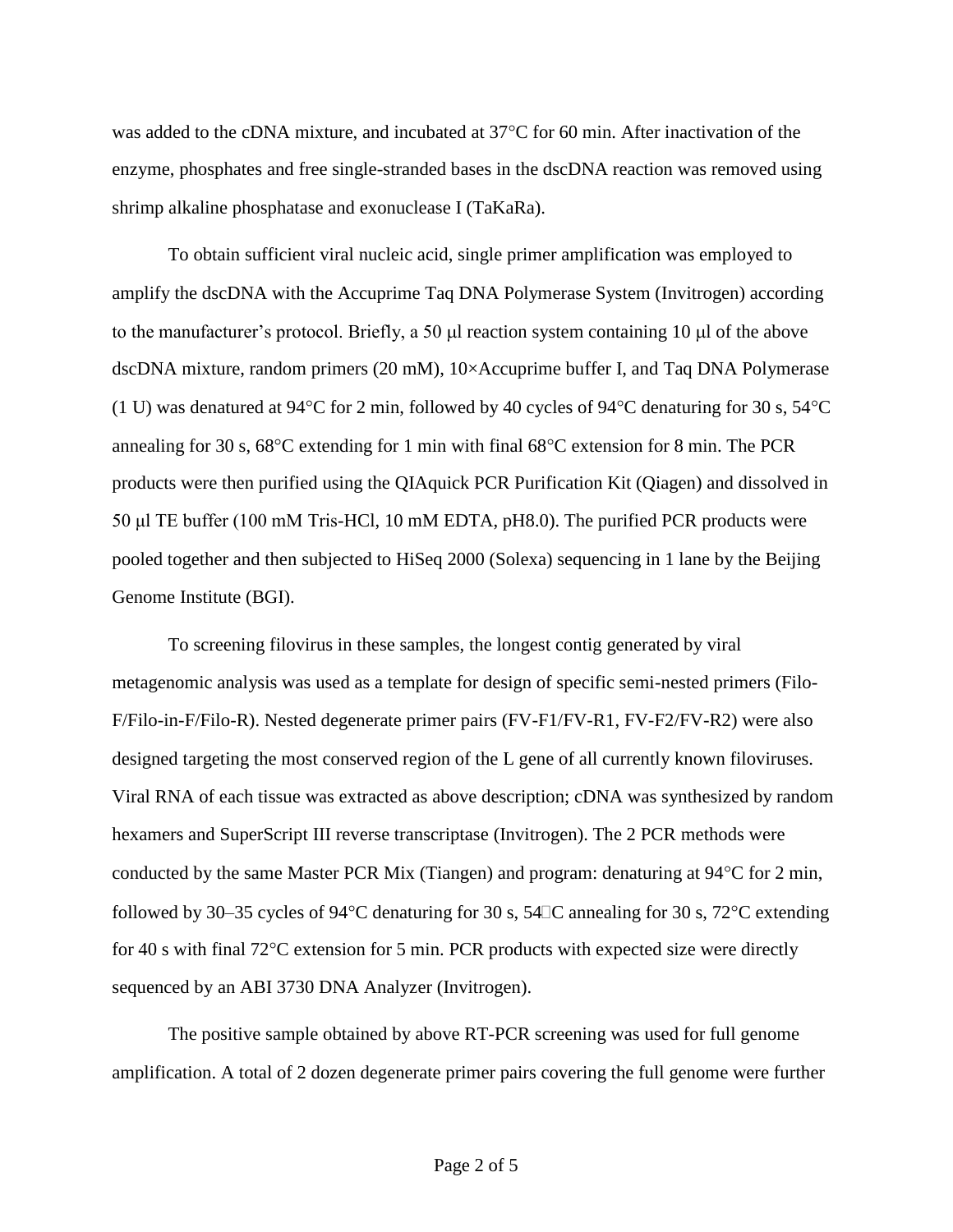was added to the cDNA mixture, and incubated at  $37^{\circ}$ C for 60 min. After inactivation of the enzyme, phosphates and free single-stranded bases in the dscDNA reaction was removed using shrimp alkaline phosphatase and exonuclease I (TaKaRa).

To obtain sufficient viral nucleic acid, single primer amplification was employed to amplify the dscDNA with the Accuprime Taq DNA Polymerase System (Invitrogen) according to the manufacturer's protocol. Briefly, a 50  $\mu$  reaction system containing 10  $\mu$  of the above dscDNA mixture, random primers (20 mM), 10×Accuprime buffer I, and Taq DNA Polymerase (1 U) was denatured at 94 $\degree$ C for 2 min, followed by 40 cycles of 94 $\degree$ C denaturing for 30 s, 54 $\degree$ C annealing for 30 s,  $68^{\circ}$ C extending for 1 min with final  $68^{\circ}$ C extension for 8 min. The PCR products were then purified using the QIAquick PCR Purification Kit (Qiagen) and dissolved in 50 μl TE buffer (100 mM Tris-HCl, 10 mM EDTA, pH8.0). The purified PCR products were pooled together and then subjected to HiSeq 2000 (Solexa) sequencing in 1 lane by the Beijing Genome Institute (BGI).

To screening filovirus in these samples, the longest contig generated by viral metagenomic analysis was used as a template for design of specific semi-nested primers (Filo-F/Filo-in-F/Filo-R). Nested degenerate primer pairs (FV-F1/FV-R1, FV-F2/FV-R2) were also designed targeting the most conserved region of the L gene of all currently known filoviruses. Viral RNA of each tissue was extracted as above description; cDNA was synthesized by random hexamers and SuperScript III reverse transcriptase (Invitrogen). The 2 PCR methods were conducted by the same Master PCR Mix (Tiangen) and program: denaturing at  $94^{\circ}$ C for 2 min, followed by 30–35 cycles of 94 $\degree$ C denaturing for 30 s, 54 $\degree$ C annealing for 30 s, 72 $\degree$ C extending for 40 s with final  $72^{\circ}$ C extension for 5 min. PCR products with expected size were directly sequenced by an ABI 3730 DNA Analyzer (Invitrogen).

The positive sample obtained by above RT-PCR screening was used for full genome amplification. A total of 2 dozen degenerate primer pairs covering the full genome were further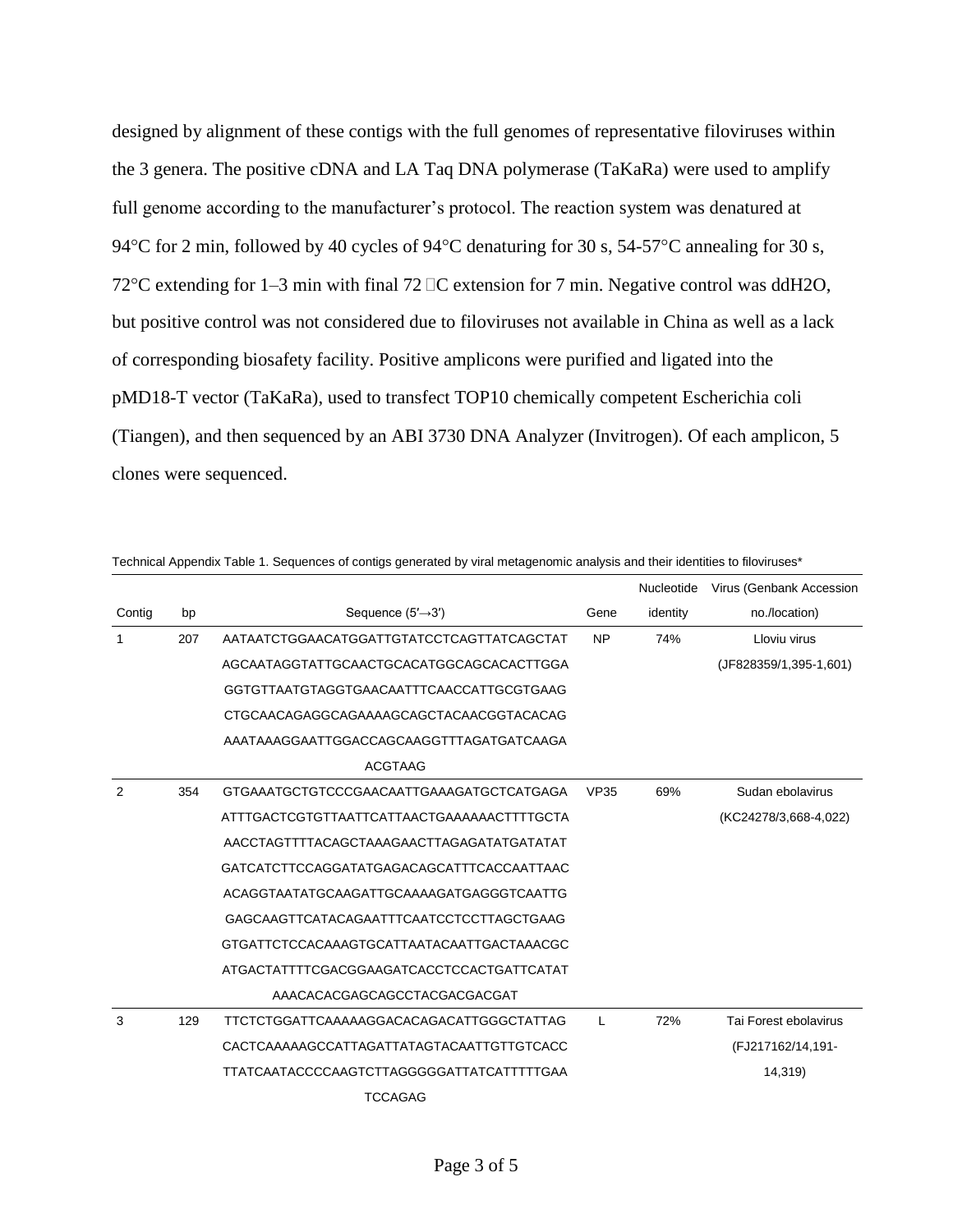designed by alignment of these contigs with the full genomes of representative filoviruses within the 3 genera. The positive cDNA and LA Taq DNA polymerase (TaKaRa) were used to amplify full genome according to the manufacturer's protocol. The reaction system was denatured at 94°C for 2 min, followed by 40 cycles of 94°C denaturing for 30 s, 54-57°C annealing for 30 s, 72°C extending for 1–3 min with final 72  $\Box$ C extension for 7 min. Negative control was ddH2O, but positive control was not considered due to filoviruses not available in China as well as a lack of corresponding biosafety facility. Positive amplicons were purified and ligated into the pMD18-T vector (TaKaRa), used to transfect TOP10 chemically competent Escherichia coli (Tiangen), and then sequenced by an ABI 3730 DNA Analyzer (Invitrogen). Of each amplicon, 5 clones were sequenced.

|        |     |                                            |              | Nucleotide | Virus (Genbank Accession |
|--------|-----|--------------------------------------------|--------------|------------|--------------------------|
| Contig | bp  | Sequence $(5' \rightarrow 3')$             | Gene         | identity   | no./location)            |
| 1      | 207 | AATAATCTGGAACATGGATTGTATCCTCAGTTATCAGCTAT  | <b>NP</b>    | 74%        | Lloviu virus             |
|        |     | AGCAATAGGTATTGCAACTGCACATGGCAGCACACTTGGA   |              |            | (JF828359/1,395-1,601)   |
|        |     | GGTGTTAATGTAGGTGAACAATTTCAACCATTGCGTGAAG   |              |            |                          |
|        |     | CTGCAACAGAGGCAGAAAAGCAGCTACAACGGTACACAG    |              |            |                          |
|        |     | AAATAAAGGAATTGGACCAGCAAGGTTTAGATGATCAAGA   |              |            |                          |
|        |     | <b>ACGTAAG</b>                             |              |            |                          |
| 2      | 354 | GTGAAATGCTGTCCCGAACAATTGAAAGATGCTCATGAGA   | <b>VP35</b>  | 69%        | Sudan ebolavirus         |
|        |     | ATTTGACTCGTGTTAATTCATTAACTGAAAAAACTTTTGCTA |              |            | (KC24278/3,668-4,022)    |
|        |     |                                            |              |            |                          |
|        |     | GATCATCTTCCAGGATATGAGACAGCATTTCACCAATTAAC  |              |            |                          |
|        |     | ACAGGTAATATGCAAGATTGCAAAAGATGAGGGTCAATTG   |              |            |                          |
|        |     | GAGCAAGTTCATACAGAATTTCAATCCTCCTTAGCTGAAG   |              |            |                          |
|        |     | GTGATTCTCCACAAAGTGCATTAATACAATTGACTAAACGC  |              |            |                          |
|        |     | ATGACTATTTTCGACGGAAGATCACCTCCACTGATTCATAT  |              |            |                          |
|        |     | AAACACACGAGCAGCCTACGACGACGAT               |              |            |                          |
| 3      | 129 | TTCTCTGGATTCAAAAAGGACACAGACATTGGGCTATTAG   | $\mathbf{I}$ | 72%        | Tai Forest ebolavirus    |
|        |     | CACTCAAAAAGCCATTAGATTATAGTACAATTGTTGTCACC  |              |            | (FJ217162/14,191-        |
|        |     | TTATCAATACCCCAAGTCTTAGGGGGATTATCATTTTTGAA  |              |            | 14,319)                  |
|        |     | <b>TCCAGAG</b>                             |              |            |                          |

Technical Appendix Table 1. Sequences of contigs generated by viral metagenomic analysis and their identities to filoviruses\*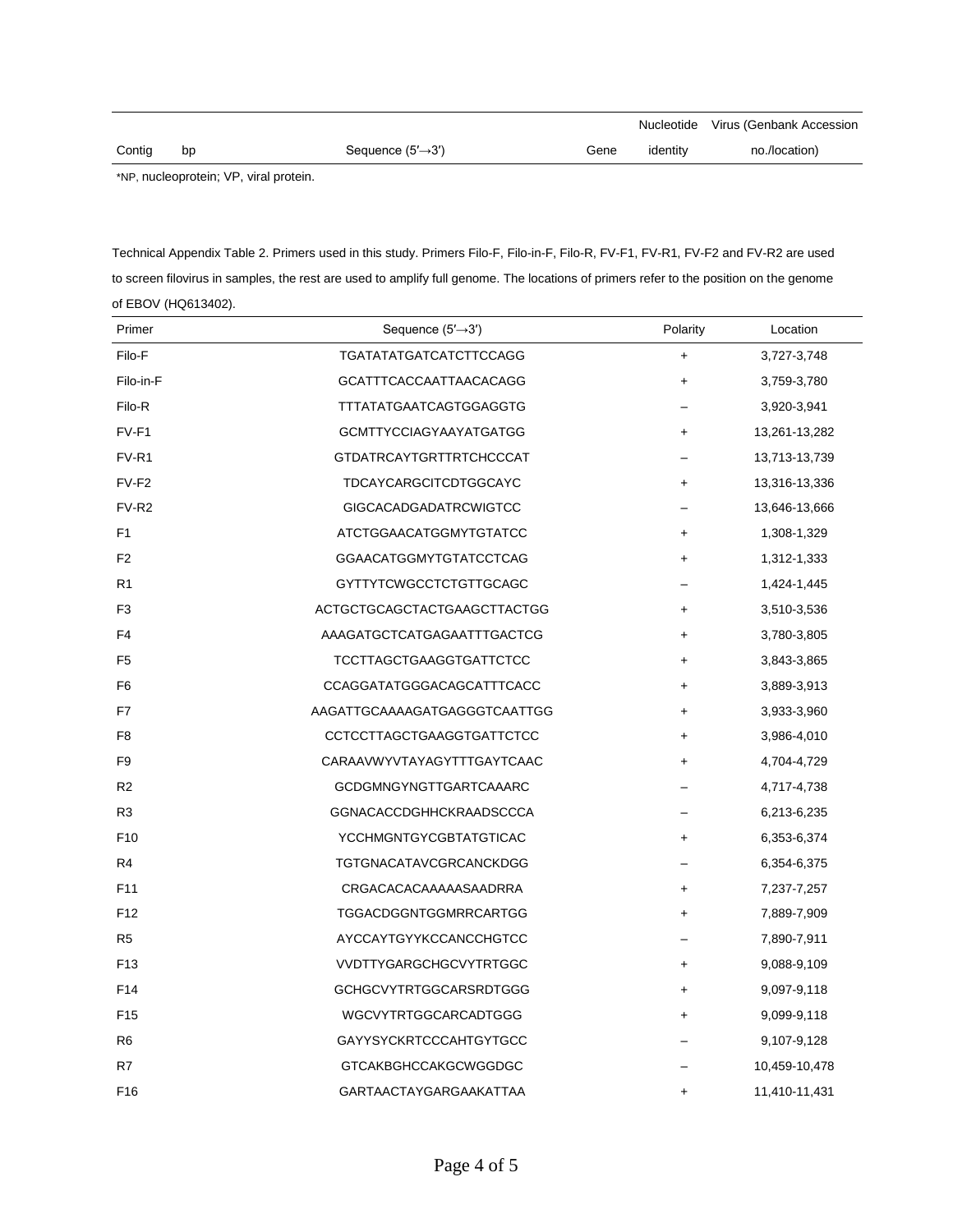|        |    |                                |      |          | Nucleotide Virus (Genbank Accession |
|--------|----|--------------------------------|------|----------|-------------------------------------|
| Contig | bp | Sequence $(5' \rightarrow 3')$ | Gene | identity | no./location)                       |
|        |    |                                |      |          |                                     |

\*NP, nucleoprotein; VP, viral protein.

| Technical Appendix Table 2. Primers used in this study. Primers Filo-F, Filo-in-F, Filo-R, FV-F1, FV-R1, FV-F2 and FV-R2 are used      |
|----------------------------------------------------------------------------------------------------------------------------------------|
| to screen filovirus in samples, the rest are used to amplify full genome. The locations of primers refer to the position on the genome |
| of EBOV (HQ613402).                                                                                                                    |

| Primer            | Sequence $(5' \rightarrow 3')$ | Polarity  | Location      |
|-------------------|--------------------------------|-----------|---------------|
| Filo-F            | <b>TGATATATGATCATCTTCCAGG</b>  | $\ddot{}$ | 3,727-3,748   |
| Filo-in-F         | <b>GCATTTCACCAATTAACACAGG</b>  | $\ddot{}$ | 3,759-3,780   |
| Filo-R            | <b>TTTATATGAATCAGTGGAGGTG</b>  |           | 3,920-3,941   |
| $FV-F1$           | <b>GCMTTYCCIAGYAAYATGATGG</b>  | $\ddot{}$ | 13,261-13,282 |
| FV-R1             | <b>GTDATRCAYTGRTTRTCHCCCAT</b> |           | 13,713-13,739 |
| FV-F2             | TDCAYCARGCITCDTGGCAYC          | $\ddot{}$ | 13,316-13,336 |
| FV-R <sub>2</sub> | <b>GIGCACADGADATRCWIGTCC</b>   |           | 13,646-13,666 |
| F <sub>1</sub>    | ATCTGGAACATGGMYTGTATCC         | $\ddot{}$ | 1,308-1,329   |
| F <sub>2</sub>    | <b>GGAACATGGMYTGTATCCTCAG</b>  | $\ddot{}$ | 1,312-1,333   |
| R <sub>1</sub>    | <b>GYTTYTCWGCCTCTGTTGCAGC</b>  |           | 1,424-1,445   |
| F <sub>3</sub>    | ACTGCTGCAGCTACTGAAGCTTACTGG    | $\ddot{}$ | 3,510-3,536   |
| F <sub>4</sub>    | AAAGATGCTCATGAGAATTTGACTCG     | $\ddot{}$ | 3,780-3,805   |
| F <sub>5</sub>    | <b>TCCTTAGCTGAAGGTGATTCTCC</b> | $\ddot{}$ | 3,843-3,865   |
| F <sub>6</sub>    | CCAGGATATGGGACAGCATTTCACC      | $\ddot{}$ | 3,889-3,913   |
| F7                | AAGATTGCAAAAGATGAGGGTCAATTGG   | $\ddot{}$ | 3,933-3,960   |
| F <sub>8</sub>    | CCTCCTTAGCTGAAGGTGATTCTCC      | $\ddot{}$ | 3,986-4,010   |
| F <sub>9</sub>    | CARAAVWYVTAYAGYTTTGAYTCAAC     | $\ddot{}$ | 4,704-4,729   |
| R <sub>2</sub>    | GCDGMNGYNGTTGARTCAAARC         |           | 4,717-4,738   |
| R <sub>3</sub>    | <b>GGNACACCDGHHCKRAADSCCCA</b> |           | 6,213-6,235   |
| F <sub>10</sub>   | YCCHMGNTGYCGBTATGTICAC         | $\ddot{}$ | 6,353-6,374   |
| R4                | TGTGNACATAVCGRCANCKDGG         |           | 6,354-6,375   |
| F <sub>11</sub>   | CRGACACACAAAAASAADRRA          | $\ddot{}$ | 7,237-7,257   |
| F <sub>12</sub>   | TGGACDGGNTGGMRRCARTGG          | $\ddot{}$ | 7,889-7,909   |
| R <sub>5</sub>    | AYCCAYTGYYKCCANCCHGTCC         |           | 7,890-7,911   |
| F <sub>13</sub>   | VVDTTYGARGCHGCVYTRTGGC         | $\ddot{}$ | 9,088-9,109   |
| F <sub>14</sub>   | <b>GCHGCVYTRTGGCARSRDTGGG</b>  | $\ddot{}$ | 9,097-9,118   |
| F <sub>15</sub>   | WGCVYTRTGGCARCADTGGG           | $\ddot{}$ | 9,099-9,118   |
| R <sub>6</sub>    | <b>GAYYSYCKRTCCCAHTGYTGCC</b>  |           | 9,107-9,128   |
| R7                | <b>GTCAKBGHCCAKGCWGGDGC</b>    |           | 10,459-10,478 |
| F <sub>16</sub>   | GARTAACTAYGARGAAKATTAA         | $\ddot{}$ | 11,410-11,431 |